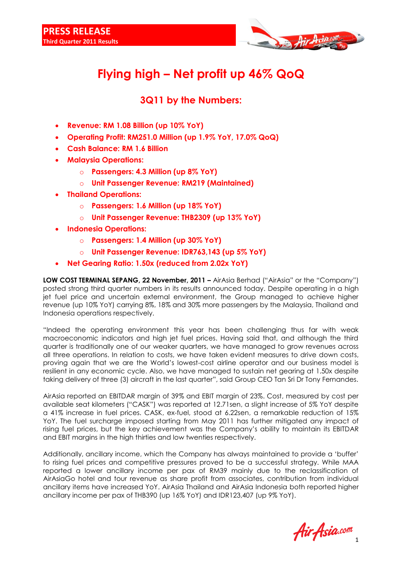

## **Flying high – Net profit up 46% QoQ**

## **3Q11 by the Numbers:**

- **Revenue: RM 1.08 Billion (up 10% YoY)**
- **Operating Profit: RM251.0 Million (up 1.9% YoY, 17.0% QoQ)**
- **Cash Balance: RM 1.6 Billion**
- **Malaysia Operations:**
	- o **Passengers: 4.3 Million (up 8% YoY)**
	- o **Unit Passenger Revenue: RM219 (Maintained)**
- **Thailand Operations:**
	- o **Passengers: 1.6 Million (up 18% YoY)**
	- o **Unit Passenger Revenue: THB2309 (up 13% YoY)**
- **Indonesia Operations:**
	- o **Passengers: 1.4 Million (up 30% YoY)**
	- o **Unit Passenger Revenue: IDR763,143 (up 5% YoY)**
- **Net Gearing Ratio: 1.50x (reduced from 2.02x YoY)**

**LOW COST TERMINAL SEPANG, 22 November, 2011 –** AirAsia Berhad ("AirAsia" or the "Company") posted strong third quarter numbers in its results announced today. Despite operating in a high jet fuel price and uncertain external environment, the Group managed to achieve higher revenue (up 10% YoY) carrying 8%, 18% and 30% more passengers by the Malaysia, Thailand and Indonesia operations respectively.

"Indeed the operating environment this year has been challenging thus far with weak macroeconomic indicators and high jet fuel prices. Having said that, and although the third quarter is traditionally one of our weaker quarters, we have managed to grow revenues across all three operations. In relation to costs, we have taken evident measures to drive down costs, proving again that we are the World"s lowest-cost airline operator and our business model is resilient in any economic cycle. Also, we have managed to sustain net gearing at 1.50x despite taking delivery of three (3) aircraft in the last quarter", said Group CEO Tan Sri Dr Tony Fernandes.

AirAsia reported an EBITDAR margin of 39% and EBIT margin of 23%. Cost, measured by cost per available seat kilometers ("CASK") was reported at 12.71sen, a slight increase of 5% YoY despite a 41% increase in fuel prices. CASK, ex-fuel, stood at 6.22sen, a remarkable reduction of 15% YoY. The fuel surcharge imposed starting from May 2011 has further mitigated any impact of rising fuel prices, but the key achievement was the Company"s ability to maintain its EBITDAR and EBIT margins in the high thirties and low twenties respectively.

Additionally, ancillary income, which the Company has always maintained to provide a "buffer" to rising fuel prices and competitive pressures proved to be a successful strategy. While MAA reported a lower ancillary income per pax of RM39 mainly due to the reclassification of AirAsiaGo hotel and tour revenue as share profit from associates, contribution from individual ancillary items have increased YoY. AirAsia Thailand and AirAsia Indonesia both reported higher ancillary income per pax of THB390 (up 16% YoY) and IDR123,407 (up 9% YoY).

Air Asia.com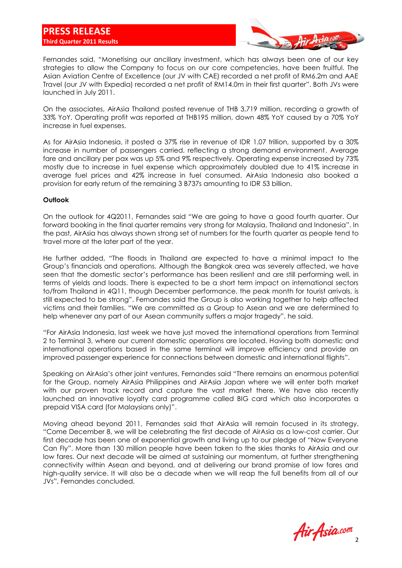

Fernandes said, "Monetising our ancillary investment, which has always been one of our key strategies to allow the Company to focus on our core competencies, have been fruitful. The Asian Aviation Centre of Excellence (our JV with CAE) recorded a net profit of RM6.2m and AAE Travel (our JV with Expedia) recorded a net profit of RM14.0m in their first quarter". Both JVs were launched in July 2011.

On the associates, AirAsia Thailand posted revenue of THB 3,719 million, recording a growth of 33% YoY. Operating profit was reported at THB195 million, down 48% YoY caused by a 70% YoY increase in fuel expenses.

As for AirAsia Indonesia, it posted a 37% rise in revenue of IDR 1.07 trillion, supported by a 30% increase in number of passengers carried, reflecting a strong demand environment. Average fare and ancillary per pax was up 5% and 9% respectively. Operating expense increased by 73% mostly due to increase in fuel expense which approximately doubled due to 41% increase in average fuel prices and 42% increase in fuel consumed. AirAsia Indonesia also booked a provision for early return of the remaining 3 B737s amounting to IDR 53 billion.

## **Outlook**

On the outlook for 4Q2011, Fernandes said "We are going to have a good fourth quarter. Our forward booking in the final quarter remains very strong for Malaysia, Thailand and Indonesia". In the past, AirAsia has always shown strong set of numbers for the fourth quarter as people tend to travel more at the later part of the year.

He further added, "The floods in Thailand are expected to have a minimal impact to the Group"s financials and operations. Although the Bangkok area was severely affected, we have seen that the domestic sector's performance has been resilient and are still performing well, in terms of yields and loads. There is expected to be a short term impact on international sectors to/from Thailand in 4Q11, though December performance, the peak month for tourist arrivals, is still expected to be strong". Fernandes said the Group is also working together to help affected victims and their families. "We are committed as a Group to Asean and we are determined to help whenever any part of our Asean community suffers a major tragedy", he said.

"For AirAsia Indonesia, last week we have just moved the international operations from Terminal 2 to Terminal 3, where our current domestic operations are located. Having both domestic and international operations based in the same terminal will improve efficiency and provide an improved passenger experience for connections between domestic and international flights".

Speaking on AirAsia"s other joint ventures, Fernandes said "There remains an enormous potential for the Group, namely AirAsia Philippines and AirAsia Japan where we will enter both market with our proven track record and capture the vast market there. We have also recently launched an innovative loyalty card programme called BIG card which also incorporates a prepaid VISA card (for Malaysians only)".

Moving ahead beyond 2011, Fernandes said that AirAsia will remain focused in its strategy. "Come December 8, we will be celebrating the first decade of AirAsia as a low-cost carrier. Our first decade has been one of exponential growth and living up to our pledge of "Now Everyone Can Fly". More than 130 million people have been taken to the skies thanks to AirAsia and our low fares. Our next decade will be aimed at sustaining our momentum, at further strengthening connectivity within Asean and beyond, and at delivering our brand promise of low fares and high-quality service. It will also be a decade when we will reap the full benefits from all of our JVs", Fernandes concluded.

Air Asia.com